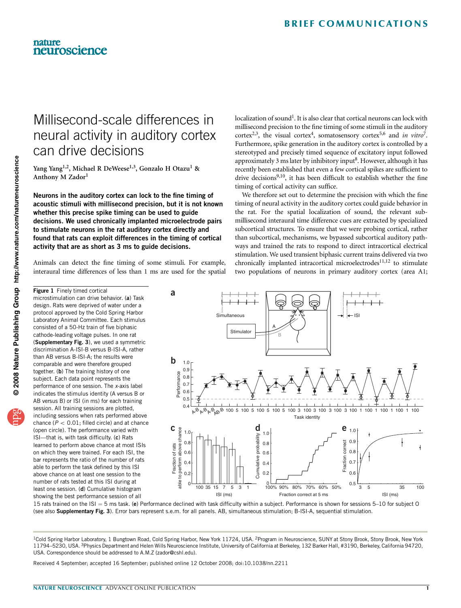## Millisecond-scale differences in neural activity in auditory cortex can drive decisions

Yang Yang<sup>1,2</sup>, Michael R DeWeese<sup>1,3</sup>, Gonzalo H Otazu<sup>1</sup> & Anthony M Zador<sup>1</sup>

Neurons in the auditory cortex can lock to the fine timing of acoustic stimuli with millisecond precision, but it is not known whether this precise spike timing can be used to guide decisions. We used chronically implanted microelectrode pairs to stimulate neurons in the rat auditory cortex directly and found that rats can exploit differences in the timing of cortical activity that are as short as 3 ms to guide decisions.

Animals can detect the fine timing of some stimuli. For example, interaural time differences of less than 1 ms are used for the spatial localization of sound<sup>1</sup>. It is also clear that cortical neurons can lock with millisecond precision to the fine timing of some stimuli in the auditory cortex<sup>2,3</sup>, the visual cortex<sup>[4](#page-1-0)</sup>, somatosensory cortex<sup>[5,6](#page-1-0)</sup> and *in vitro*<sup>7</sup>. Furthermore, spike generation in the auditory cortex is controlled by a stereotyped and precisely timed sequence of excitatory input followed approximately 3 ms later by inhibitory input $8$ . However, although it has recently been established that even a few cortical spikes are sufficient to drive decisions<sup>9,10</sup>, it has been difficult to establish whether the fine timing of cortical activity can suffice.

We therefore set out to determine the precision with which the fine timing of neural activity in the auditory cortex could guide behavior in the rat. For the spatial localization of sound, the relevant submillisecond interaural time difference cues are extracted by specialized subcortical structures. To ensure that we were probing cortical, rather than subcortical, mechanisms, we bypassed subcortical auditory pathways and trained the rats to respond to direct intracortical electrical stimulation. We used transient biphasic current trains delivered via two chronically implanted intracortical microelectrodes<sup>[11,12](#page-1-0)</sup> to stimulate two populations of neurons in primary auditory cortex (area A1;

design. Rats were deprived of water under a protocol approved by the Cold Spring Harbor Laboratory Animal Committee. Each stimulus consisted of a 50-Hz train of five biphasic cathode-leading voltage pulses. In one rat (Supplementary Fig. 3), we used a symmetric discrimination A-ISI-B versus B-ISI-A, rather than AB versus B-ISI-A; the results were comparable and were therefore grouped together. (b) The training history of one subject. Each data point represents the performance of one session. The x-axis label indicates the stimulus identity (A versus B or AB versus B) or ISI (in ms) for each training session. All training sessions are plotted, including sessions when rats performed above chance ( $P < 0.01$ ; filled circle) and at chance (open circle). The performance varied with ISI—that is, with task difficulty. (c) Rats learned to perform above chance at most ISIs on which they were trained. For each ISI, the bar represents the ratio of the number of rats able to perform the task defined by this ISI above chance on at least one session to the number of rats tested at this ISI during at

least one session. (d) Cumulative histogram showing the best performance session of all

Figure 1 Finely timed cortical

<span id="page-0-0"></span>nature

neuroscience

microstimulation can drive behavior. (a) Task

**a Simultaneous** ISI A Stimulator B **b**  $1.0<sub>l</sub>$ 0.9 Performance Performance 0.8 0.7 0.6 0.5  $0.4\frac{1}{\kappa\beta_{\kappa}\beta_{\kappa}\beta_{\kappa}\beta_{\kappa}}$  100 5 100 5 100 5 100 5 100 3 100 3 100 3 100 3 100 1 100 1 100 1 100 1 100 Task identity **c g** <sub>10</sub>. **d d e** able to perform above chance 1.0 1.0 1.0 Cumulative probability 0.9 0.8 0.8 correct Fraction correct Fraction of rats Fraction of rats 0.8 0.6 0.6 Cumulative Fraction able to perform 0.7 0.4  $0.4$  $0.6$ 0.2 0.2 100 35 15 7 5 3 1 <sup>0</sup>  $0.5\frac{1}{3}$  5 35 100  $0 -$ <br> $100\%$ 100% 90% 80% 70% 60% 50% ISI (ms) Fraction correct at 5 ms ISI (ms)

15 rats trained on the ISI = 5 ms task. (e) Performance declined with task difficulty within a subject. Performance is shown for sessions 5–10 for subject 0 (see also Supplementary Fig. 3). Error bars represent s.e.m. for all panels. AB, simultaneous stimulation; B-ISI-A, sequential stimulation.

<sup>1</sup>Cold Spring Harbor Laboratory, 1 Bungtown Road, Cold Spring Harbor, New York 11724, USA. <sup>2</sup>Program in Neuroscience, SUNY at Stony Brook, Stony Brook, New York 11794–5230, USA. 3Physics Department and Helen Wills Neuroscience Institute, University of California at Berkeley, 132 Barker Hall, #3190, Berkeley, California 94720, USA. Correspondence should be addressed to A.M.Z ([zador@cshl.edu](mailto:zador@cshl.edu)).

Received 4 September; accepted 16 September; published online 12 October 2008; [doi:10.1038/nn.2211](http://www.nature.com/doifinder/10.1038/nn.2211)